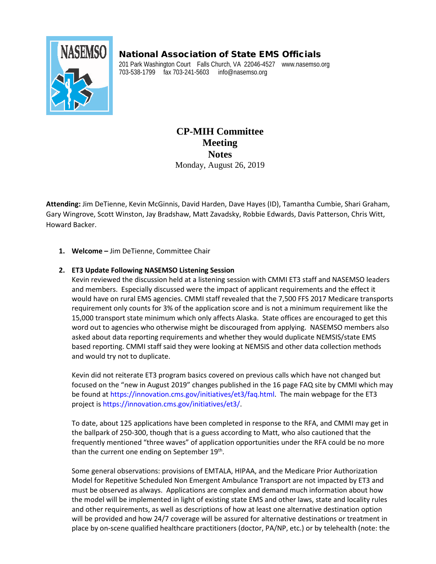## National Association of State EMS Officials



201 Park Washington Court Falls Church, VA 22046-4527 www.nasemso.org 703-538-1799 fax 703-241-5603 info@nasemso.org

> **CP-MIH Committee Meeting Notes** Monday, August 26, 2019

**Attending:** Jim DeTienne, Kevin McGinnis, David Harden, Dave Hayes (ID), Tamantha Cumbie, Shari Graham, Gary Wingrove, Scott Winston, Jay Bradshaw, Matt Zavadsky, Robbie Edwards, Davis Patterson, Chris Witt, Howard Backer.

**1. Welcome –** Jim DeTienne, Committee Chair

## **2. ET3 Update Following NASEMSO Listening Session**

Kevin reviewed the discussion held at a listening session with CMMI ET3 staff and NASEMSO leaders and members. Especially discussed were the impact of applicant requirements and the effect it would have on rural EMS agencies. CMMI staff revealed that the 7,500 FFS 2017 Medicare transports requirement only counts for 3% of the application score and is not a minimum requirement like the 15,000 transport state minimum which only affects Alaska. State offices are encouraged to get this word out to agencies who otherwise might be discouraged from applying. NASEMSO members also asked about data reporting requirements and whether they would duplicate NEMSIS/state EMS based reporting. CMMI staff said they were looking at NEMSIS and other data collection methods and would try not to duplicate.

Kevin did not reiterate ET3 program basics covered on previous calls which have not changed but focused on the "new in August 2019" changes published in the 16 page FAQ site by CMMI which may be found at [https://innovation.cms.gov/initiatives/et3/faq.html.](https://innovation.cms.gov/initiatives/et3/faq.html) The main webpage for the ET3 project i[s https://innovation.cms.gov/initiatives/et3/.](https://innovation.cms.gov/initiatives/et3/)

To date, about 125 applications have been completed in response to the RFA, and CMMI may get in the ballpark of 250-300, though that is a guess according to Matt, who also cautioned that the frequently mentioned "three waves" of application opportunities under the RFA could be no more than the current one ending on September 19<sup>th</sup>.

Some general observations: provisions of EMTALA, HIPAA, and the Medicare Prior Authorization Model for Repetitive Scheduled Non Emergent Ambulance Transport are not impacted by ET3 and must be observed as always. Applications are complex and demand much information about how the model will be implemented in light of existing state EMS and other laws, state and locality rules and other requirements, as well as descriptions of how at least one alternative destination option will be provided and how 24/7 coverage will be assured for alternative destinations or treatment in place by on-scene qualified healthcare practitioners (doctor, PA/NP, etc.) or by telehealth (note: the